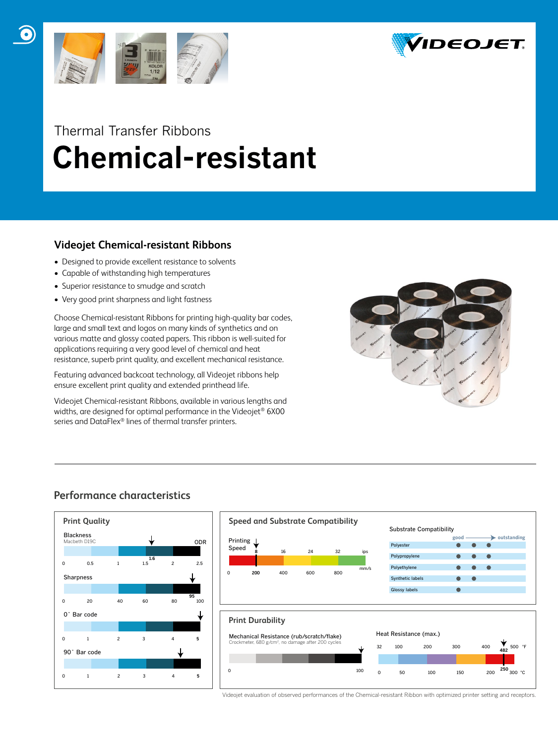



## Thermal Transfer Ribbons  **Chemical-resistant**

### **Videojet Chemical-resistant Ribbons**

- Designed to provide excellent resistance to solvents
- Capable of withstanding high temperatures
- Superior resistance to smudge and scratch
- Very good print sharpness and light fastness

Choose Chemical-resistant Ribbons for printing high-quality bar codes, large and small text and logos on many kinds of synthetics and on various matte and glossy coated papers. This ribbon is well-suited for applications requiring a very good level of chemical and heat resistance, superb print quality, and excellent mechanical resistance.

Featuring advanced backcoat technology, all Videojet ribbons help ensure excellent print quality and extended printhead life.

Videojet Chemical-resistant Ribbons, available in various lengths and widths, are designed for optimal performance in the Videojet® 6X00 series and DataFlex® lines of thermal transfer printers.



## **Performance characteristics**





Videojet evaluation of observed performances of the Chemical-resistant Ribbon with optimized printer setting and receptors.